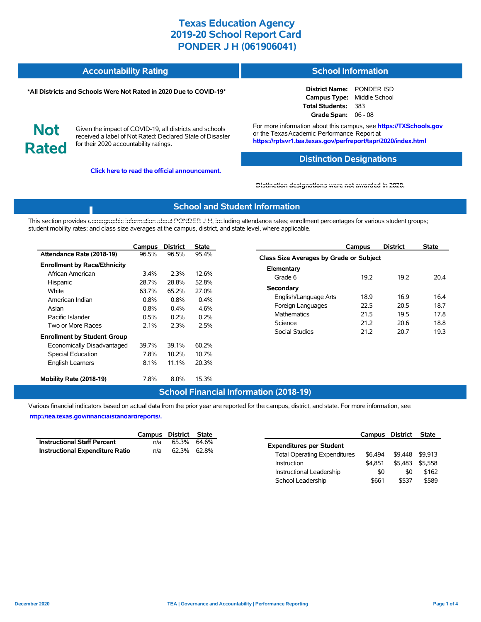| <b>Accountability Rating</b> | <b>School Information</b> |
|------------------------------|---------------------------|
|                              |                           |

#### **\*All Districts and Schools Were Not Rated in 2020 Due to COVID-19\***

**District Name:** PONDER ISD **Campus Type:** Middle School **Total Students:** 383 **Grade Span:** 06 - 08

**Not Rated**

Given the impact of COVID-19, all districts and schools received a label of Not Rated: Declared State of Disaster for their 2020 accountability ratings.

**Click here to read the official announcement.**

For more information about this campus, see **https://TXSchools.gov** or the Texas Academic Performance Report at **https://rptsvr1.tea.texas.gov/perfreport/tapr/2020/index.html**

### **Distinction Designations**

#### **[Distinction designations were not awarded in 2020.](https://rptsvr1.tea.texas.gov/perfreport/tapr/2020/index.html)**

#### **School and Student Information**

This section provides [demographic information about PONDER J H, inc](https://tea.texas.gov/about-tea/news-and-multimedia/correspondence/taa-letters/every-student-succeeds-act-essa-waiver-approval-2020-state-academic-accountability)luding attendance rates; enrollment percentages for various student groups; student mobility rates; and class size averages at the campus, district, and state level, where applicable.

|                                     | Campus  | <b>District</b> | State |
|-------------------------------------|---------|-----------------|-------|
| Attendance Rate (2018-19)           | 96.5%   | 96.5%           | 95.4% |
| <b>Enrollment by Race/Ethnicity</b> |         |                 |       |
| African American                    | $3.4\%$ | 2.3%            | 12.6% |
| Hispanic                            | 28.7%   | 28.8%           | 52.8% |
| White                               | 63.7%   | 65.2%           | 27.0% |
| American Indian                     | $0.8\%$ | 0.8%            | 0.4%  |
| Asian                               | $0.8\%$ | $0.4\%$         | 4.6%  |
| Pacific Islander                    | $0.5\%$ | 0.2%            | 0.2%  |
| Two or More Races                   | $2.1\%$ | 2.3%            | 2.5%  |
| <b>Enrollment by Student Group</b>  |         |                 |       |
| Economically Disadvantaged          | 39.7%   | 39.1%           | 60.2% |
| Special Education                   | 7.8%    | 10.2%           | 10.7% |
| <b>English Learners</b>             | $8.1\%$ | 11.1%           | 20.3% |
| Mobility Rate (2018-19)             | 7.8%    | 8.0%            | 15.3% |

|                                         | Campus | <b>District</b> | State |  |  |  |  |  |  |
|-----------------------------------------|--------|-----------------|-------|--|--|--|--|--|--|
| Class Size Averages by Grade or Subject |        |                 |       |  |  |  |  |  |  |
| Elementary                              |        |                 |       |  |  |  |  |  |  |
| Grade 6                                 | 19.2   | 19.2            | 204   |  |  |  |  |  |  |
| Secondary                               |        |                 |       |  |  |  |  |  |  |
| English/Language Arts                   | 18.9   | 16.9            | 16.4  |  |  |  |  |  |  |
| Foreign Languages                       | 22.5   | 20.5            | 18.7  |  |  |  |  |  |  |
| <b>Mathematics</b>                      | 21.5   | 19.5            | 17.8  |  |  |  |  |  |  |
| Science                                 | 21 2   | 20.6            | 188   |  |  |  |  |  |  |
| Social Studies                          | 21 2   | 20.7            | 19.3  |  |  |  |  |  |  |
|                                         |        |                 |       |  |  |  |  |  |  |

Instructional Leadership  $$0$  \$0 \$162 School Leadership  $$661$  \$537 \$589

#### **School Financial Information (2018-19)**

Various financial indicators based on actual data from the prior year are reported for the campus, district, and state. For more information, see

**[http://tea.texas.gov/financialstandardreports/.](http://tea.texas.gov/financialstandardreports/)**

|                                        |     | Campus District State |                                                | Campus District | State   |
|----------------------------------------|-----|-----------------------|------------------------------------------------|-----------------|---------|
| <b>Instructional Staff Percent</b>     | n/a | 65.3% 64.6%           | <b>Expenditures per Student</b>                |                 |         |
| <b>Instructional Expenditure Ratio</b> | n/a | 62.3% 62.8%           | \$6.494<br><b>Total Operating Expenditures</b> | \$9,448 \$9,913 |         |
|                                        |     |                       | \$4,851<br>Instruction                         | \$5,483         | \$5,558 |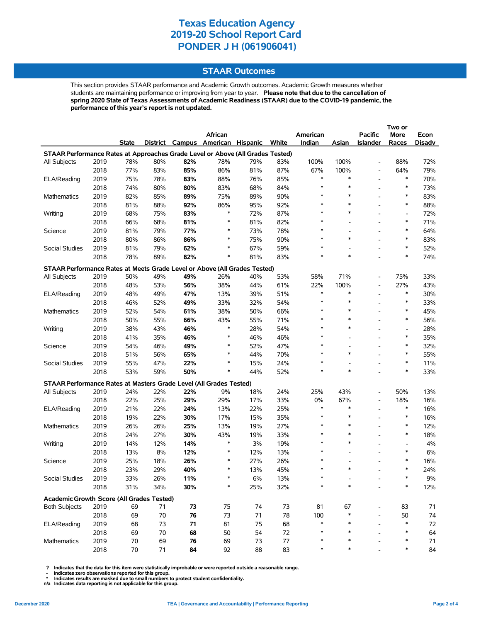### **STAAR Outcomes**

This section provides STAAR performance and Academic Growth outcomes. Academic Growth measures whether students are maintaining performance or improving from year to year. **Please note that due to the cancellation of spring 2020 State of Texas Assessments of Academic Readiness (STAAR) due to the COVID-19 pandemic, the performance of this year's report is not updated.**

|                                                                                |      |        |        |     |                                   |     |       |          |                          |                          | Two or                   |        |
|--------------------------------------------------------------------------------|------|--------|--------|-----|-----------------------------------|-----|-------|----------|--------------------------|--------------------------|--------------------------|--------|
|                                                                                |      |        |        |     | African                           |     |       | American |                          | <b>Pacific</b>           | More                     | Econ   |
|                                                                                |      | State  |        |     | District Campus American Hispanic |     | White | Indian   | Asian                    | Islander                 | Races                    | Disadv |
| STAAR Performance Rates at Approaches Grade Level or Above (All Grades Tested) |      |        |        |     |                                   |     |       |          |                          |                          |                          |        |
| All Subjects                                                                   | 2019 | 78%    | 80%    | 82% | 78%                               | 79% | 83%   | 100%     | 100%                     | $\overline{a}$           | 88%                      | 72%    |
|                                                                                | 2018 | 77%    | 83%    | 85% | 86%                               | 81% | 87%   | 67%      | 100%                     | $\overline{\phantom{a}}$ | 64%                      | 79%    |
| ELA/Reading                                                                    | 2019 | 75%    | 78%    | 83% | 88%                               | 76% | 85%   | $\ast$   | $\ast$                   | $\overline{a}$           | $\ast$                   | 70%    |
|                                                                                | 2018 | 74%    | 80%    | 80% | 83%                               | 68% | 84%   | $\ast$   | $\ast$                   | $\overline{a}$           | $\ast$                   | 73%    |
| Mathematics                                                                    | 2019 | 82%    | 85%    | 89% | 75%                               | 89% | 90%   | $\ast$   | $\ast$                   | $\overline{a}$           | $\ast$                   | 83%    |
|                                                                                | 2018 | 81%    | 88%    | 92% | 86%                               | 95% | 92%   | $\ast$   | $\ast$                   |                          | $\ast$                   | 88%    |
| Writing                                                                        | 2019 | 68%    | 75%    | 83% | $\ast$                            | 72% | 87%   | $\ast$   | $\ast$                   | $\overline{\phantom{0}}$ | $\overline{\phantom{a}}$ | 72%    |
|                                                                                | 2018 | 66%    | 68%    | 81% | $\ast$                            | 81% | 82%   | $\ast$   |                          |                          | $\ast$                   | 71%    |
| Science                                                                        | 2019 | 81%    | 79%    | 77% | $\ast$                            | 73% | 78%   | $\ast$   |                          | $\overline{a}$           | $\ast$                   | 64%    |
|                                                                                | 2018 | 80%    | 86%    | 86% | $\ast$                            | 75% | 90%   | $\ast$   | $\ast$                   |                          | $\ast$                   | 83%    |
| Social Studies                                                                 | 2019 | 81%    | 79%    | 62% | $\ast$                            | 67% | 59%   | $\ast$   |                          | $\overline{a}$           | $\ast$                   | 52%    |
|                                                                                | 2018 | 78%    | 89%    | 82% | $\ast$                            | 81% | 83%   | $\ast$   | *                        |                          | $\ast$                   | 74%    |
| STAAR Performance Rates at Meets Grade Level or Above (All Grades Tested)      |      |        |        |     |                                   |     |       |          |                          |                          |                          |        |
| All Subjects                                                                   | 2019 | 50%    | 49%    | 49% | 26%                               | 40% | 53%   | 58%      | 71%                      |                          | 75%                      | 33%    |
|                                                                                | 2018 | 48%    | 53%    | 56% | 38%                               | 44% | 61%   | 22%      | 100%                     | $\overline{\phantom{a}}$ | 27%                      | 43%    |
| ELA/Reading                                                                    | 2019 | 48%    | 49%    | 47% | 13%                               | 39% | 51%   | $\ast$   | $\ast$                   | $\overline{a}$           | $\ast$                   | 30%    |
|                                                                                | 2018 | 46%    | 52%    | 49% | 33%                               | 32% | 54%   | $\ast$   | $\ast$                   |                          | $\ast$                   | 33%    |
| Mathematics                                                                    | 2019 | 52%    | 54%    | 61% | 38%                               | 50% | 66%   | $\ast$   | $\ast$                   | $\overline{\phantom{0}}$ | $\ast$                   | 45%    |
|                                                                                | 2018 | 50%    | 55%    | 66% | 43%                               | 55% | 71%   | $\ast$   | $\ast$                   | $\overline{a}$           | $\ast$                   | 56%    |
| Writing                                                                        | 2019 | 38%    | 43%    | 46% | $\ast$                            | 28% | 54%   | $\ast$   | $\ast$                   | $\overline{a}$           | $\overline{a}$           | 28%    |
|                                                                                | 2018 | 41%    | 35%    | 46% | $\ast$                            | 46% | 46%   | $\ast$   | $\overline{\phantom{a}}$ | $\overline{\phantom{a}}$ | $\ast$                   | 35%    |
| Science                                                                        | 2019 | 54%    | 46%    | 49% | $\ast$                            | 52% | 47%   | $\ast$   |                          | $\overline{\phantom{0}}$ | $\ast$                   | 32%    |
|                                                                                | 2018 | 51%    | 56%    | 65% | $\ast$                            | 44% | 70%   | $\ast$   | $\ast$                   |                          | $\ast$                   | 55%    |
| Social Studies                                                                 | 2019 | 55%    | 47%    | 22% | $\ast$                            | 15% | 24%   | ∗        |                          | $\overline{a}$           | $\ast$                   | 11%    |
|                                                                                | 2018 | 53%    | 59%    | 50% | $\ast$                            | 44% | 52%   | $\ast$   | $\ast$                   |                          | $\ast$                   | 33%    |
| STAAR Performance Rates at Masters Grade Level (All Grades Tested)             |      |        |        |     |                                   |     |       |          |                          |                          |                          |        |
| All Subjects                                                                   | 2019 | 24%    | 22%    | 22% | 9%                                | 18% | 24%   | 25%      | 43%                      | $\overline{a}$           | 50%                      | 13%    |
|                                                                                | 2018 | 22%    | 25%    | 29% | 29%                               | 17% | 33%   | 0%       | 67%                      | $\overline{a}$           | 18%                      | 16%    |
| ELA/Reading                                                                    | 2019 | 21%    | 22%    | 24% | 13%                               | 22% | 25%   | $\ast$   | $\ast$                   | $\overline{a}$           | $\ast$                   | 16%    |
|                                                                                | 2018 | 19%    | 22%    | 30% | 17%                               | 15% | 35%   | $\ast$   | $\ast$                   | $\overline{a}$           | $\ast$                   | 16%    |
| Mathematics                                                                    | 2019 | 26%    | 26%    | 25% | 13%                               | 19% | 27%   | $\ast$   | $\ast$                   |                          | $\ast$                   | 12%    |
|                                                                                | 2018 | 24%    | 27%    | 30% | 43%                               | 19% | 33%   | $\ast$   | $\ast$                   |                          | $\ast$                   | 18%    |
| Writing                                                                        | 2019 | 14%    | 12%    | 14% | $\ast$                            | 3%  | 19%   | $\ast$   | $\ast$                   | $\overline{a}$           | $\overline{\phantom{a}}$ | 4%     |
|                                                                                | 2018 | 13%    | 8%     | 12% | $\ast$                            | 12% | 13%   | $\ast$   |                          | $\overline{a}$           | $\ast$                   | 6%     |
| Science                                                                        | 2019 | 25%    | 18%    | 26% | $\ast$                            | 27% | 26%   | $\ast$   |                          | $\overline{\phantom{0}}$ | $\ast$                   | 16%    |
|                                                                                | 2018 | 23%    | 29%    | 40% | $\ast$                            | 13% | 45%   | $\ast$   | $\ast$                   |                          | $\ast$                   | 24%    |
| Social Studies                                                                 | 2019 | 33%    | 26%    | 11% |                                   | 6%  | 13%   |          |                          |                          |                          | $9\%$  |
|                                                                                | 2018 | 31%    | 34%    | 30% |                                   | 25% | 32%   |          |                          |                          |                          | 12%    |
|                                                                                |      |        |        |     |                                   |     |       |          |                          |                          |                          |        |
| Academic Growth Score (All Grades Tested)                                      |      |        |        |     |                                   |     |       |          |                          |                          |                          |        |
| <b>Both Subjects</b>                                                           | 2019 | 69     | 71     | 73  | 75                                | 74  | 73    | 81       | 67                       | $\overline{a}$           | 83                       | 71     |
|                                                                                | 2018 | 69     | 70     | 76  | 73                                | 71  | 78    | 100      |                          |                          | 50                       | 74     |
| ELA/Reading                                                                    | 2019 | 68     | 73     | 71  | 81                                | 75  | 68    | ∗<br>*   |                          |                          | $\ast$<br>$\ast$         | 72     |
|                                                                                | 2018 | 69     | $70\,$ | 68  | 50                                | 54  | 72    |          |                          |                          | ∗                        | 64     |
| Mathematics                                                                    | 2019 | 70     | 69     | 76  | 69                                | 73  | 77    |          |                          |                          | $\ast$                   | 71     |
|                                                                                | 2018 | $70\,$ | 71     | 84  | 92                                | 88  | 83    | ∗        |                          |                          |                          | 84     |

 **? Indicates that the data for this item were statistically improbable or were reported outside a reasonable range.**

 **- Indicates zero observations reported for this group. \* Indicates results are masked due to small numbers to protect student confidentiality.**

**n/a Indicates data reporting is not applicable for this group.**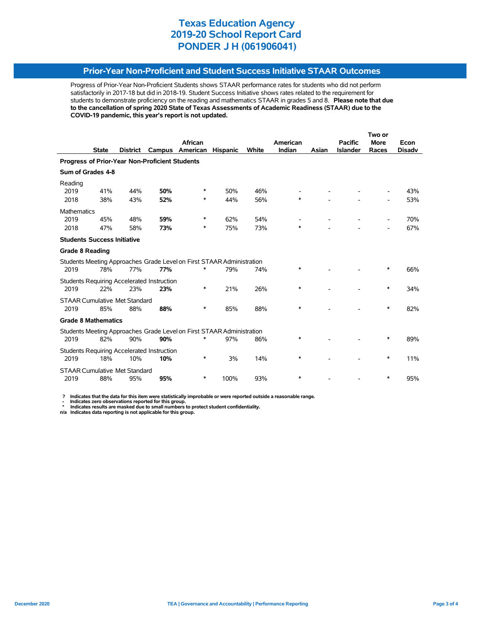### **Prior-Year Non-Proficient and Student Success Initiative STAAR Outcomes**

Progress of Prior-Year Non-Proficient Students shows STAAR performance rates for students who did not perform satisfactorily in 2017-18 but did in 2018-19. Student Success Initiative shows rates related to the requirement for students to demonstrate proficiency on the reading and mathematics STAAR in grades 5 and 8. **Please note that due to the cancellation of spring 2020 State of Texas Assessments of Academic Readiness (STAAR) due to the COVID-19 pandemic, this year's report is not updated.**

|                                                |              |                 | Two or                                            |                                                                       |                 |       |          |       |                 |             |               |  |
|------------------------------------------------|--------------|-----------------|---------------------------------------------------|-----------------------------------------------------------------------|-----------------|-------|----------|-------|-----------------|-------------|---------------|--|
|                                                |              |                 |                                                   | African                                                               |                 |       | American |       | <b>Pacific</b>  | <b>More</b> | Econ          |  |
|                                                | <b>State</b> | <b>District</b> | Campus                                            | American                                                              | <b>Hispanic</b> | White | Indian   | Asian | <b>Islander</b> | Races       | <b>Disadv</b> |  |
| Progress of Prior-Year Non-Proficient Students |              |                 |                                                   |                                                                       |                 |       |          |       |                 |             |               |  |
| Sum of Grades 4-8                              |              |                 |                                                   |                                                                       |                 |       |          |       |                 |             |               |  |
| Reading                                        |              |                 |                                                   |                                                                       |                 |       |          |       |                 |             |               |  |
| 2019                                           | 41%          | 44%             | 50%                                               | ∗                                                                     | 50%             | 46%   |          |       |                 |             | 43%           |  |
| 2018                                           | 38%          | 43%             | 52%                                               | ∗                                                                     | 44%             | 56%   | *        |       |                 |             | 53%           |  |
| <b>Mathematics</b>                             |              |                 |                                                   |                                                                       |                 |       |          |       |                 |             |               |  |
| 2019                                           | 45%          | 48%             | 59%                                               | ∗                                                                     | 62%             | 54%   |          |       |                 |             | 70%           |  |
| 2018                                           | 47%          | 58%             | 73%                                               | ∗                                                                     | 75%             | 73%   | $\ast$   |       |                 |             | 67%           |  |
| <b>Students Success Initiative</b>             |              |                 |                                                   |                                                                       |                 |       |          |       |                 |             |               |  |
| <b>Grade 8 Reading</b>                         |              |                 |                                                   |                                                                       |                 |       |          |       |                 |             |               |  |
|                                                |              |                 |                                                   | Students Meeting Approaches Grade Level on First STAAR Administration |                 |       |          |       |                 |             |               |  |
| 2019                                           | 78%          | 77%             | 77%                                               | $\ast$                                                                | 79%             | 74%   | $\ast$   |       |                 | $\ast$      | 66%           |  |
|                                                |              |                 | <b>Students Requiring Accelerated Instruction</b> |                                                                       |                 |       |          |       |                 |             |               |  |
| 2019                                           | 22%          | 23%             | 23%                                               | *                                                                     | 21%             | 26%   | $\ast$   |       |                 | $\ast$      | 34%           |  |
| <b>STAAR Cumulative Met Standard</b>           |              |                 |                                                   |                                                                       |                 |       |          |       |                 |             |               |  |
| 2019                                           | 85%          | 88%             | 88%                                               | *                                                                     | 85%             | 88%   | $\ast$   |       |                 | $\ast$      | 82%           |  |
|                                                |              |                 |                                                   |                                                                       |                 |       |          |       |                 |             |               |  |
| <b>Grade 8 Mathematics</b>                     |              |                 |                                                   |                                                                       |                 |       |          |       |                 |             |               |  |
|                                                |              |                 |                                                   | Students Meeting Approaches Grade Level on First STAAR Administration |                 |       |          |       |                 |             |               |  |
| 2019                                           | 82%          | 90%             | 90%                                               |                                                                       | 97%             | 86%   | *        |       |                 | *           | 89%           |  |
|                                                |              |                 | <b>Students Requiring Accelerated Instruction</b> |                                                                       |                 |       |          |       |                 |             |               |  |
| 2019                                           | 18%          | 10%             | 10%                                               | *                                                                     | 3%              | 14%   | $\ast$   |       |                 | *           | 11%           |  |
| <b>STAAR Cumulative Met Standard</b>           |              |                 |                                                   |                                                                       |                 |       |          |       |                 |             |               |  |
| 2019                                           | 88%          | 95%             | 95%                                               | ∗                                                                     | 100%            | 93%   | $\ast$   |       |                 | *           | 95%           |  |

 **? Indicates that the data for this item were statistically improbable or were reported outside a reasonable range.**

 **- Indicates zero observations reported for this group. \* Indicates results are masked due to small numbers to protect student confidentiality.**

**n/a Indicates data reporting is not applicable for this group.**